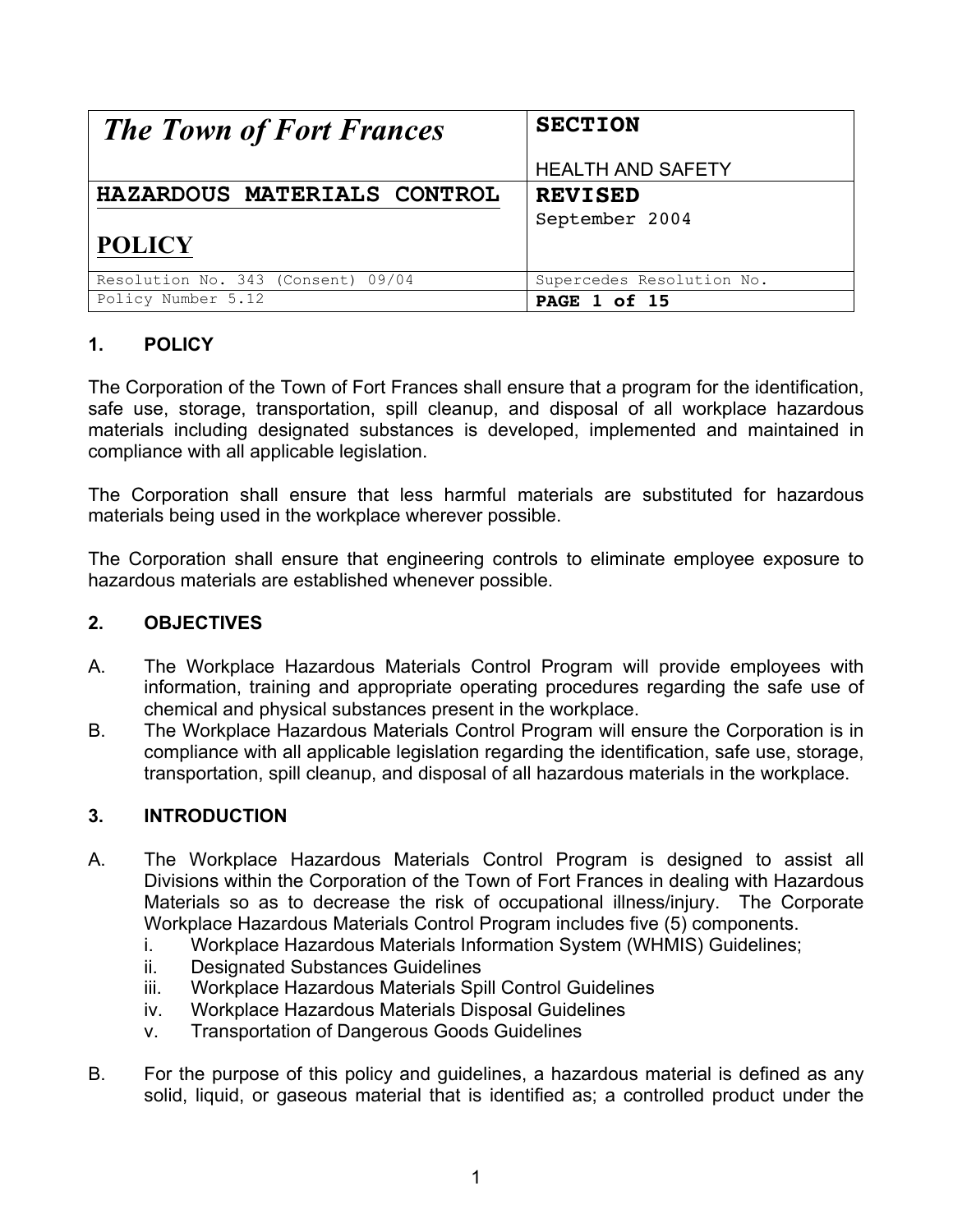| <b>The Town of Fort Frances</b>    | <b>SECTION</b>            |  |  |
|------------------------------------|---------------------------|--|--|
|                                    | <b>HEALTH AND SAFETY</b>  |  |  |
| HAZARDOUS MATERIALS CONTROL        | <b>REVISED</b>            |  |  |
|                                    | September 2004            |  |  |
| <b>POLICY</b>                      |                           |  |  |
| Resolution No. 343 (Consent) 09/04 | Supercedes Resolution No. |  |  |
| Policy Number 5.12                 | <b>PAGE 1 of 15</b>       |  |  |

# **1. POLICY**

The Corporation of the Town of Fort Frances shall ensure that a program for the identification, safe use, storage, transportation, spill cleanup, and disposal of all workplace hazardous materials including designated substances is developed, implemented and maintained in compliance with all applicable legislation.

The Corporation shall ensure that less harmful materials are substituted for hazardous materials being used in the workplace wherever possible.

The Corporation shall ensure that engineering controls to eliminate employee exposure to hazardous materials are established whenever possible.

## **2. OBJECTIVES**

- A. The Workplace Hazardous Materials Control Program will provide employees with information, training and appropriate operating procedures regarding the safe use of chemical and physical substances present in the workplace.
- B. The Workplace Hazardous Materials Control Program will ensure the Corporation is in compliance with all applicable legislation regarding the identification, safe use, storage, transportation, spill cleanup, and disposal of all hazardous materials in the workplace.

## **3. INTRODUCTION**

- A. The Workplace Hazardous Materials Control Program is designed to assist all Divisions within the Corporation of the Town of Fort Frances in dealing with Hazardous Materials so as to decrease the risk of occupational illness/injury. The Corporate Workplace Hazardous Materials Control Program includes five (5) components.
	- i. Workplace Hazardous Materials Information System (WHMIS) Guidelines;
	- ii. Designated Substances Guidelines
	- iii. Workplace Hazardous Materials Spill Control Guidelines
	- iv. Workplace Hazardous Materials Disposal Guidelines
	- v. Transportation of Dangerous Goods Guidelines
- B. For the purpose of this policy and guidelines, a hazardous material is defined as any solid, liquid, or gaseous material that is identified as; a controlled product under the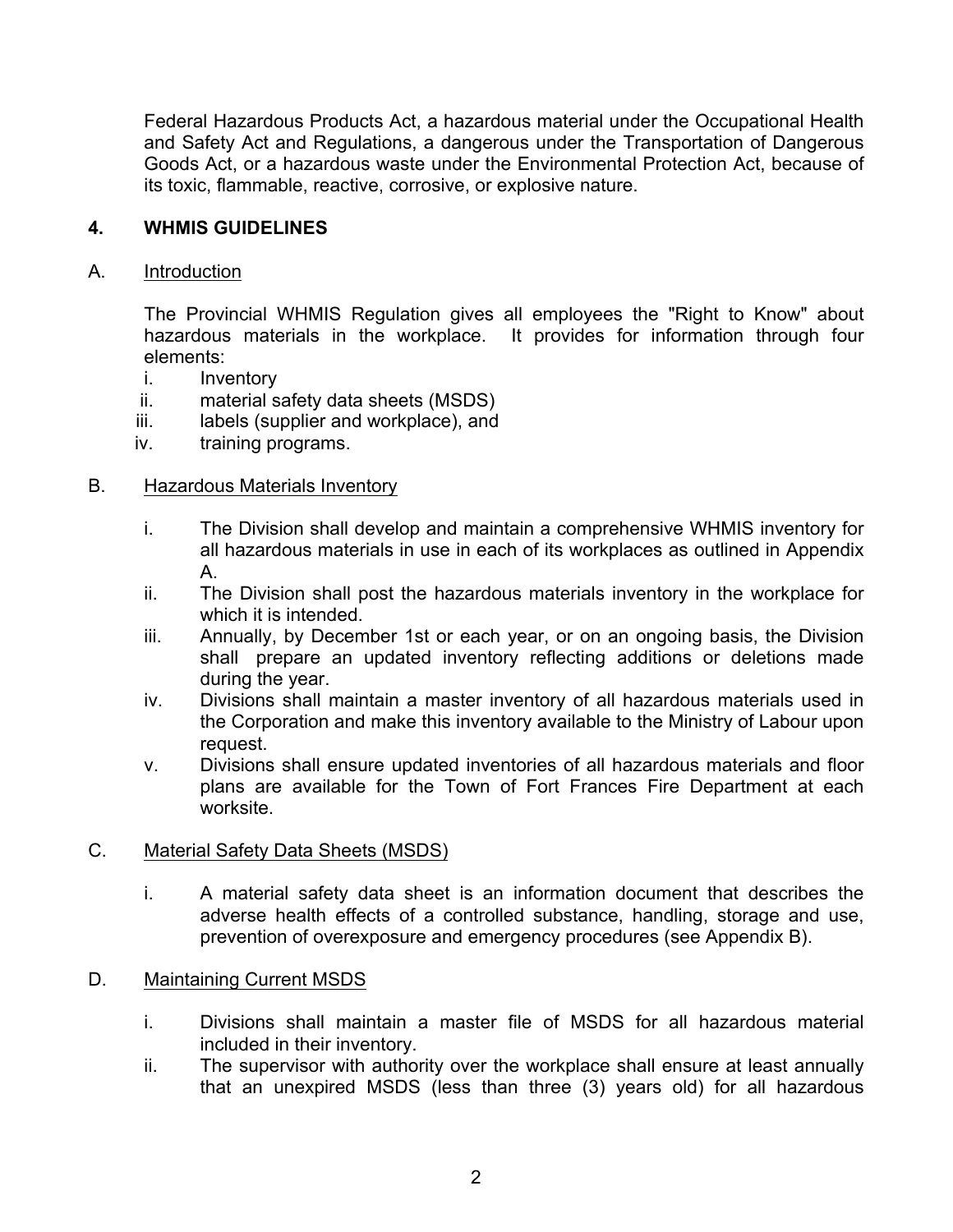Federal Hazardous Products Act, a hazardous material under the Occupational Health and Safety Act and Regulations, a dangerous under the Transportation of Dangerous Goods Act, or a hazardous waste under the Environmental Protection Act, because of its toxic, flammable, reactive, corrosive, or explosive nature.

#### **4. WHMIS GUIDELINES**

#### A. Introduction

The Provincial WHMIS Regulation gives all employees the "Right to Know" about hazardous materials in the workplace. It provides for information through four elements:

- i. Inventory
- ii. material safety data sheets (MSDS)
- iii. labels (supplier and workplace), and
- iv. training programs.

#### B. Hazardous Materials Inventory

- i. The Division shall develop and maintain a comprehensive WHMIS inventory for all hazardous materials in use in each of its workplaces as outlined in Appendix A.
- ii. The Division shall post the hazardous materials inventory in the workplace for which it is intended.
- iii. Annually, by December 1st or each year, or on an ongoing basis, the Division shall prepare an updated inventory reflecting additions or deletions made during the year.
- iv. Divisions shall maintain a master inventory of all hazardous materials used in the Corporation and make this inventory available to the Ministry of Labour upon request.
- v. Divisions shall ensure updated inventories of all hazardous materials and floor plans are available for the Town of Fort Frances Fire Department at each worksite.

#### C. Material Safety Data Sheets (MSDS)

i. A material safety data sheet is an information document that describes the adverse health effects of a controlled substance, handling, storage and use, prevention of overexposure and emergency procedures (see Appendix B).

#### D. Maintaining Current MSDS

- i. Divisions shall maintain a master file of MSDS for all hazardous material included in their inventory.
- ii. The supervisor with authority over the workplace shall ensure at least annually that an unexpired MSDS (less than three (3) years old) for all hazardous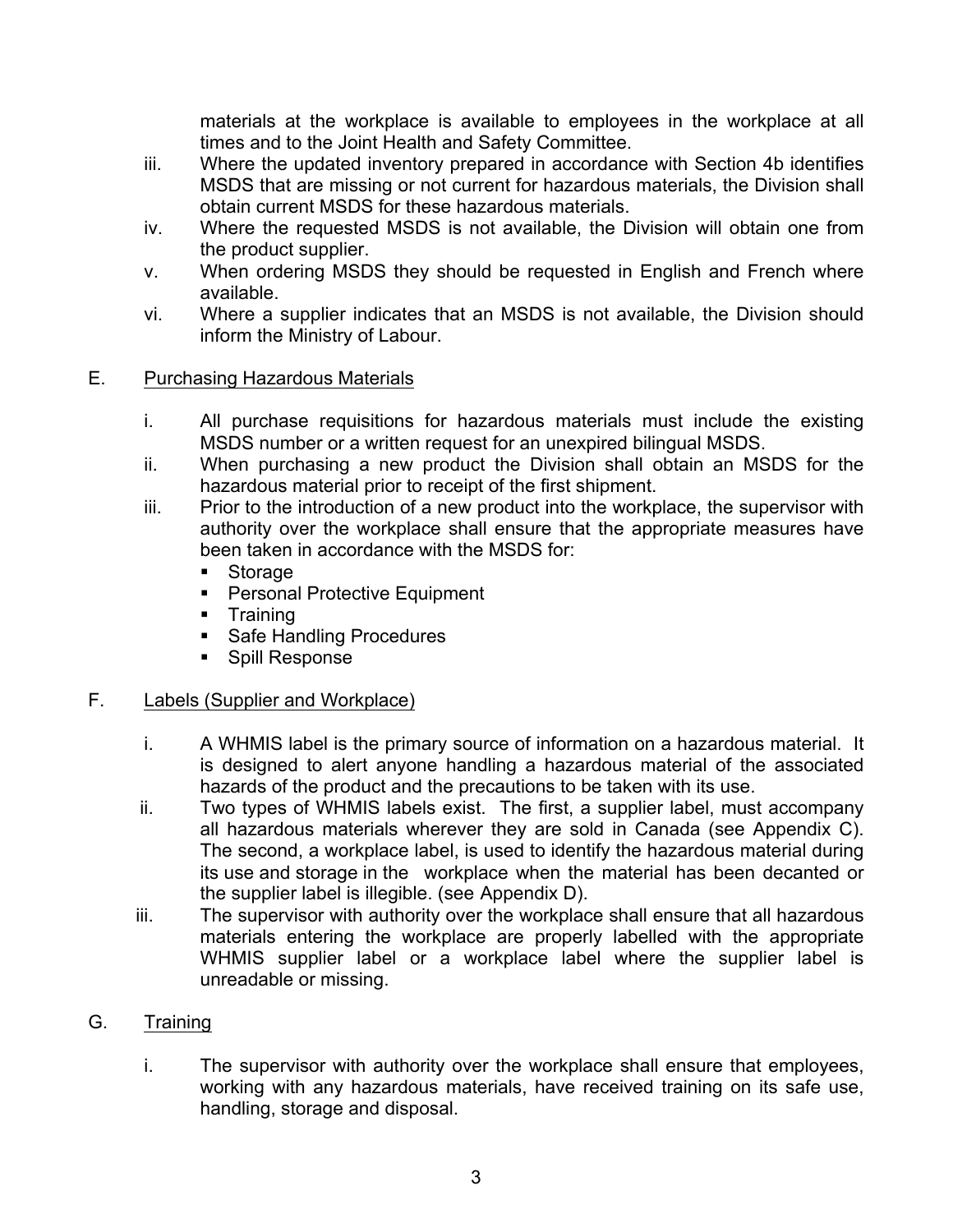materials at the workplace is available to employees in the workplace at all times and to the Joint Health and Safety Committee.

- iii. Where the updated inventory prepared in accordance with Section 4b identifies MSDS that are missing or not current for hazardous materials, the Division shall obtain current MSDS for these hazardous materials.
- iv. Where the requested MSDS is not available, the Division will obtain one from the product supplier.
- v. When ordering MSDS they should be requested in English and French where available.
- vi. Where a supplier indicates that an MSDS is not available, the Division should inform the Ministry of Labour.

#### E. Purchasing Hazardous Materials

- i. All purchase requisitions for hazardous materials must include the existing MSDS number or a written request for an unexpired bilingual MSDS.
- ii. When purchasing a new product the Division shall obtain an MSDS for the hazardous material prior to receipt of the first shipment.
- iii. Prior to the introduction of a new product into the workplace, the supervisor with authority over the workplace shall ensure that the appropriate measures have been taken in accordance with the MSDS for:
	- ! Storage
	- **EXEC** Personal Protective Equipment
	- **Training**
	- **Safe Handling Procedures**
	- **E.** Spill Response

## F. Labels (Supplier and Workplace)

- i. A WHMIS label is the primary source of information on a hazardous material. It is designed to alert anyone handling a hazardous material of the associated hazards of the product and the precautions to be taken with its use.
- ii. Two types of WHMIS labels exist. The first, a supplier label, must accompany all hazardous materials wherever they are sold in Canada (see Appendix C). The second, a workplace label, is used to identify the hazardous material during its use and storage in the workplace when the material has been decanted or the supplier label is illegible. (see Appendix D).
- iii. The supervisor with authority over the workplace shall ensure that all hazardous materials entering the workplace are properly labelled with the appropriate WHMIS supplier label or a workplace label where the supplier label is unreadable or missing.

## G. Training

i. The supervisor with authority over the workplace shall ensure that employees, working with any hazardous materials, have received training on its safe use, handling, storage and disposal.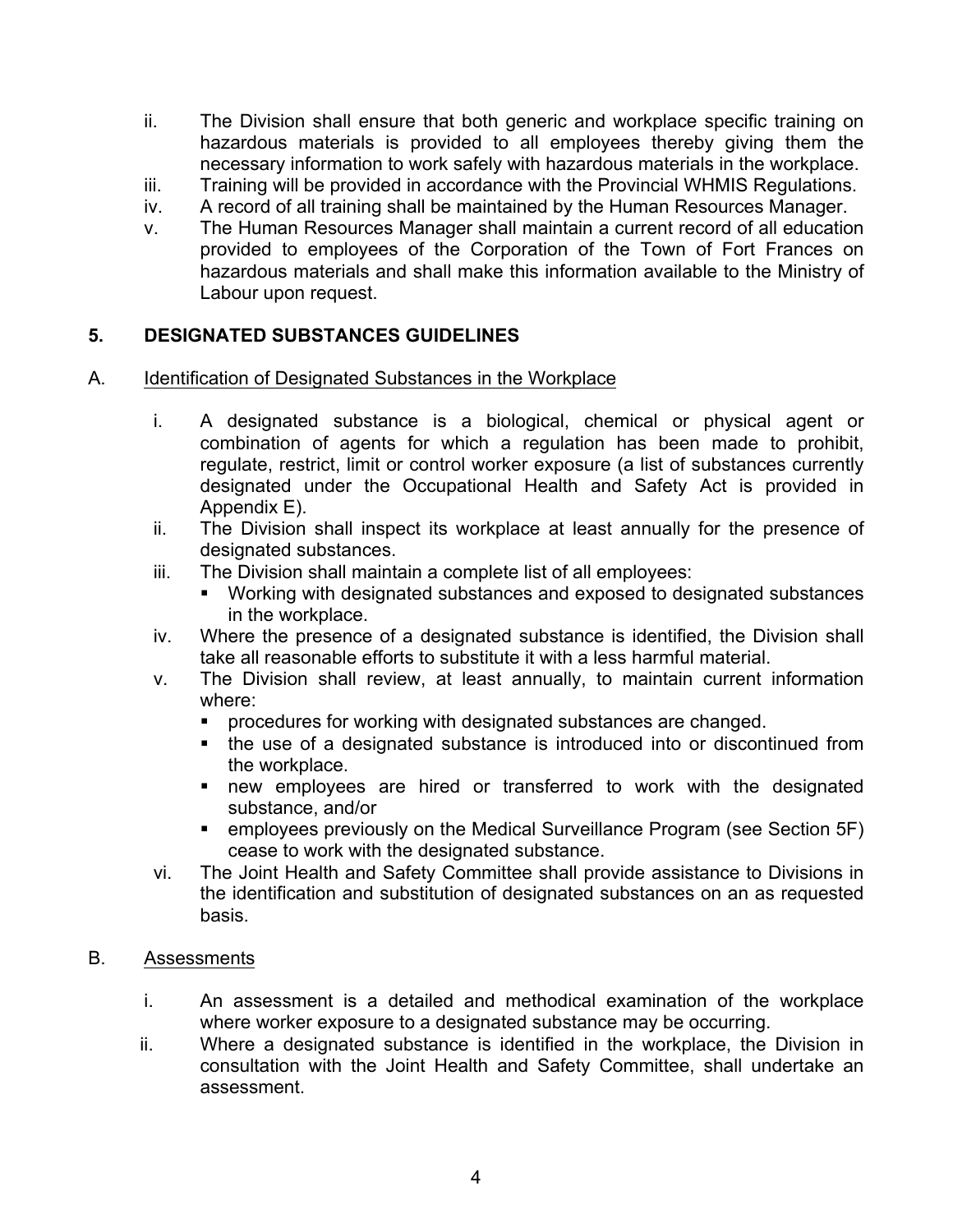- ii. The Division shall ensure that both generic and workplace specific training on hazardous materials is provided to all employees thereby giving them the necessary information to work safely with hazardous materials in the workplace.
- iii. Training will be provided in accordance with the Provincial WHMIS Regulations.
- iv. A record of all training shall be maintained by the Human Resources Manager.
- v. The Human Resources Manager shall maintain a current record of all education provided to employees of the Corporation of the Town of Fort Frances on hazardous materials and shall make this information available to the Ministry of Labour upon request.

#### **5. DESIGNATED SUBSTANCES GUIDELINES**

- A. Identification of Designated Substances in the Workplace
	- i. A designated substance is a biological, chemical or physical agent or combination of agents for which a regulation has been made to prohibit, regulate, restrict, limit or control worker exposure (a list of substances currently designated under the Occupational Health and Safety Act is provided in Appendix E).
	- ii. The Division shall inspect its workplace at least annually for the presence of designated substances.
	- iii. The Division shall maintain a complete list of all employees:
		- ! Working with designated substances and exposed to designated substances in the workplace.
	- iv. Where the presence of a designated substance is identified, the Division shall take all reasonable efforts to substitute it with a less harmful material.
	- v. The Division shall review, at least annually, to maintain current information where:
		- ! procedures for working with designated substances are changed.
		- ! the use of a designated substance is introduced into or discontinued from the workplace.
		- **.** new employees are hired or transferred to work with the designated substance, and/or
		- ! employees previously on the Medical Surveillance Program (see Section 5F) cease to work with the designated substance.
	- vi. The Joint Health and Safety Committee shall provide assistance to Divisions in the identification and substitution of designated substances on an as requested basis.

#### B. Assessments

- i. An assessment is a detailed and methodical examination of the workplace where worker exposure to a designated substance may be occurring.
- ii. Where a designated substance is identified in the workplace, the Division in consultation with the Joint Health and Safety Committee, shall undertake an assessment.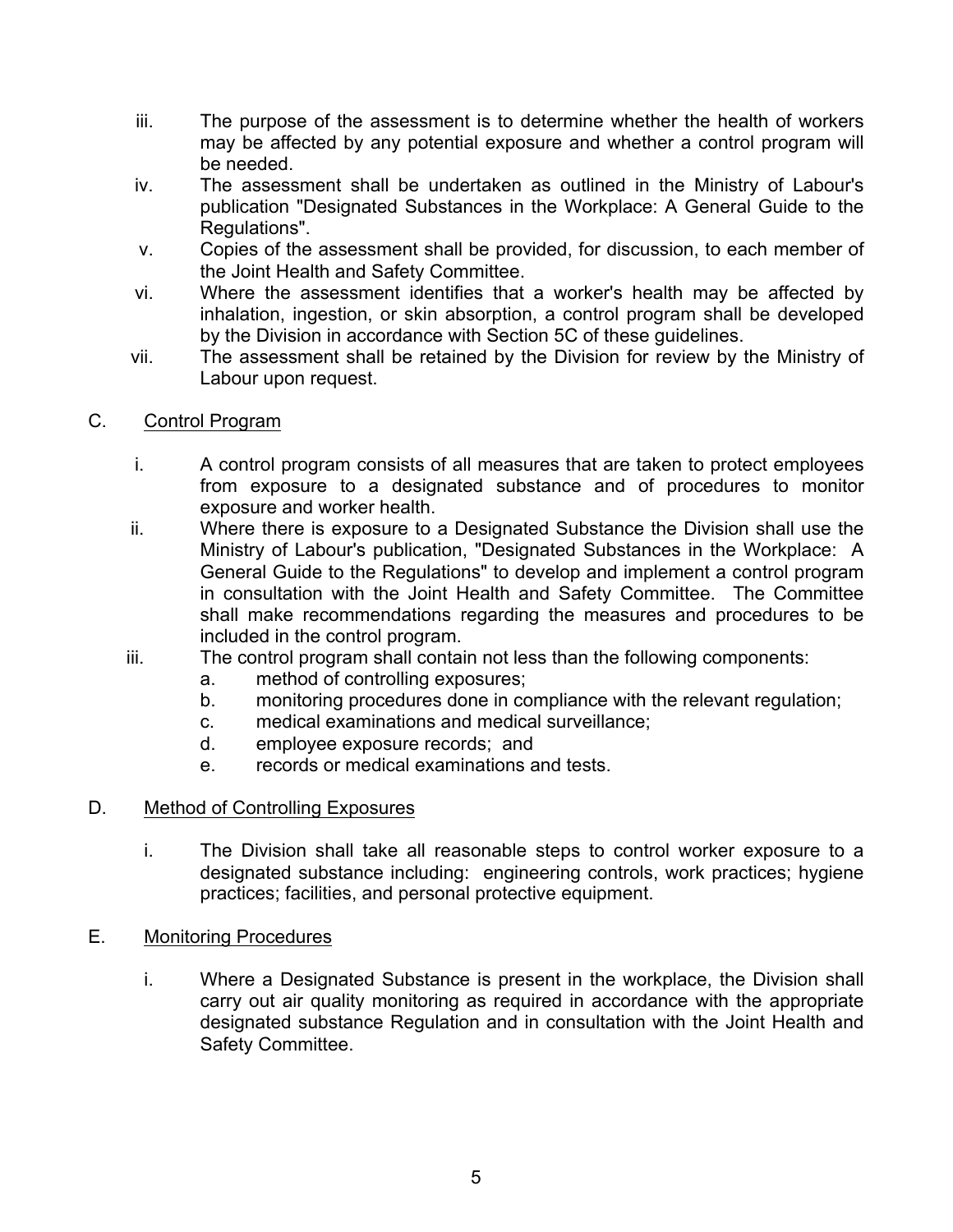- iii. The purpose of the assessment is to determine whether the health of workers may be affected by any potential exposure and whether a control program will be needed.
- iv. The assessment shall be undertaken as outlined in the Ministry of Labour's publication "Designated Substances in the Workplace: A General Guide to the Regulations".
- v. Copies of the assessment shall be provided, for discussion, to each member of the Joint Health and Safety Committee.
- vi. Where the assessment identifies that a worker's health may be affected by inhalation, ingestion, or skin absorption, a control program shall be developed by the Division in accordance with Section 5C of these guidelines.
- vii. The assessment shall be retained by the Division for review by the Ministry of Labour upon request.
- C. Control Program
	- i. A control program consists of all measures that are taken to protect employees from exposure to a designated substance and of procedures to monitor exposure and worker health.
	- ii. Where there is exposure to a Designated Substance the Division shall use the Ministry of Labour's publication, "Designated Substances in the Workplace: A General Guide to the Regulations" to develop and implement a control program in consultation with the Joint Health and Safety Committee. The Committee shall make recommendations regarding the measures and procedures to be included in the control program.
	- iii. The control program shall contain not less than the following components:
		- a. method of controlling exposures;
		- b. monitoring procedures done in compliance with the relevant regulation;
		- c. medical examinations and medical surveillance;
		- d. employee exposure records; and
		- e. records or medical examinations and tests.

#### D. Method of Controlling Exposures

- i. The Division shall take all reasonable steps to control worker exposure to a designated substance including: engineering controls, work practices; hygiene practices; facilities, and personal protective equipment.
- E. Monitoring Procedures
	- i. Where a Designated Substance is present in the workplace, the Division shall carry out air quality monitoring as required in accordance with the appropriate designated substance Regulation and in consultation with the Joint Health and Safety Committee.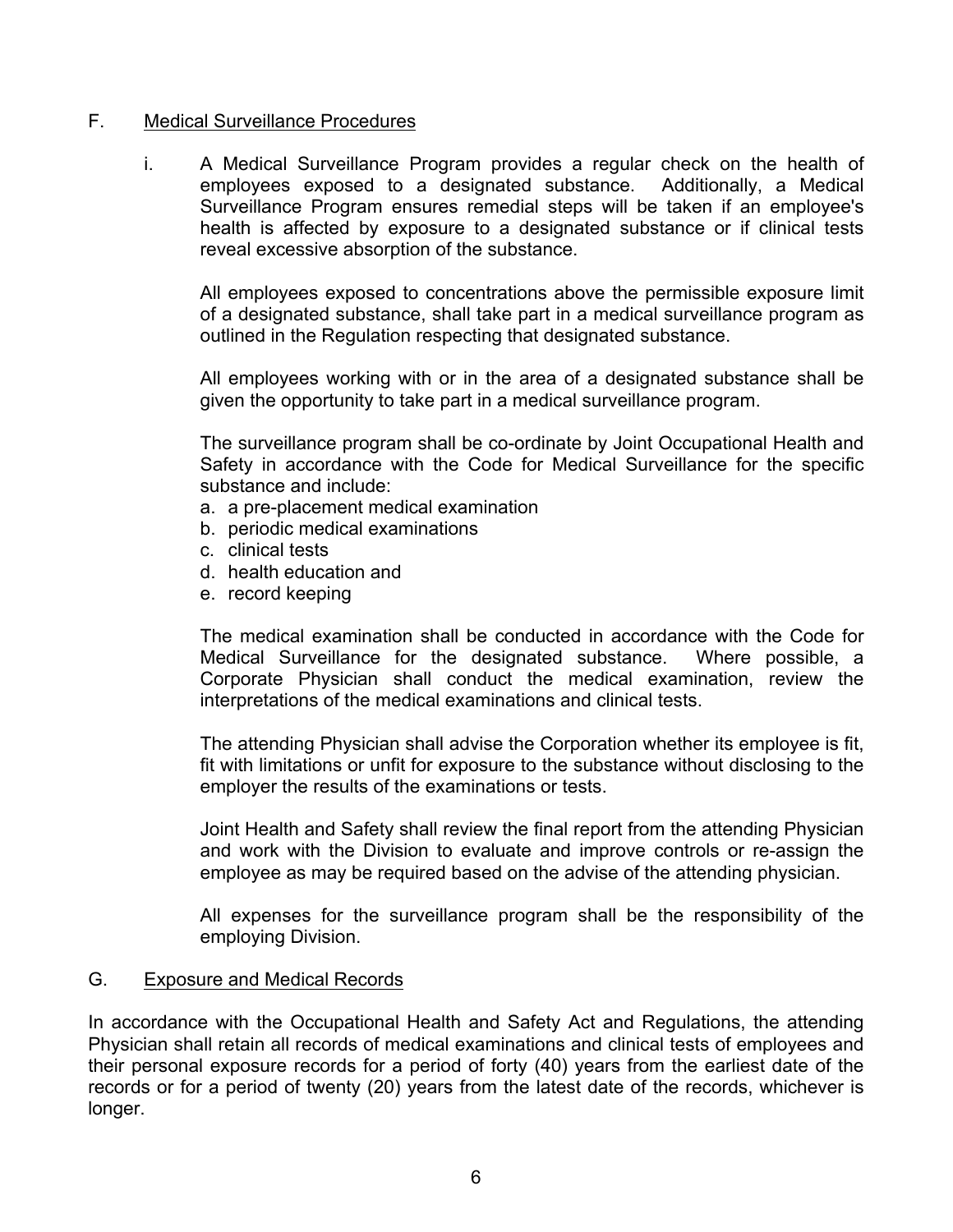#### F. Medical Surveillance Procedures

i. A Medical Surveillance Program provides a regular check on the health of employees exposed to a designated substance. Additionally, a Medical Surveillance Program ensures remedial steps will be taken if an employee's health is affected by exposure to a designated substance or if clinical tests reveal excessive absorption of the substance.

All employees exposed to concentrations above the permissible exposure limit of a designated substance, shall take part in a medical surveillance program as outlined in the Regulation respecting that designated substance.

All employees working with or in the area of a designated substance shall be given the opportunity to take part in a medical surveillance program.

The surveillance program shall be co-ordinate by Joint Occupational Health and Safety in accordance with the Code for Medical Surveillance for the specific substance and include:

- a. a pre-placement medical examination
- b. periodic medical examinations
- c. clinical tests
- d. health education and
- e. record keeping

The medical examination shall be conducted in accordance with the Code for Medical Surveillance for the designated substance. Where possible, a Corporate Physician shall conduct the medical examination, review the interpretations of the medical examinations and clinical tests.

The attending Physician shall advise the Corporation whether its employee is fit, fit with limitations or unfit for exposure to the substance without disclosing to the employer the results of the examinations or tests.

Joint Health and Safety shall review the final report from the attending Physician and work with the Division to evaluate and improve controls or re-assign the employee as may be required based on the advise of the attending physician.

All expenses for the surveillance program shall be the responsibility of the employing Division.

## G. Exposure and Medical Records

In accordance with the Occupational Health and Safety Act and Regulations, the attending Physician shall retain all records of medical examinations and clinical tests of employees and their personal exposure records for a period of forty (40) years from the earliest date of the records or for a period of twenty (20) years from the latest date of the records, whichever is longer.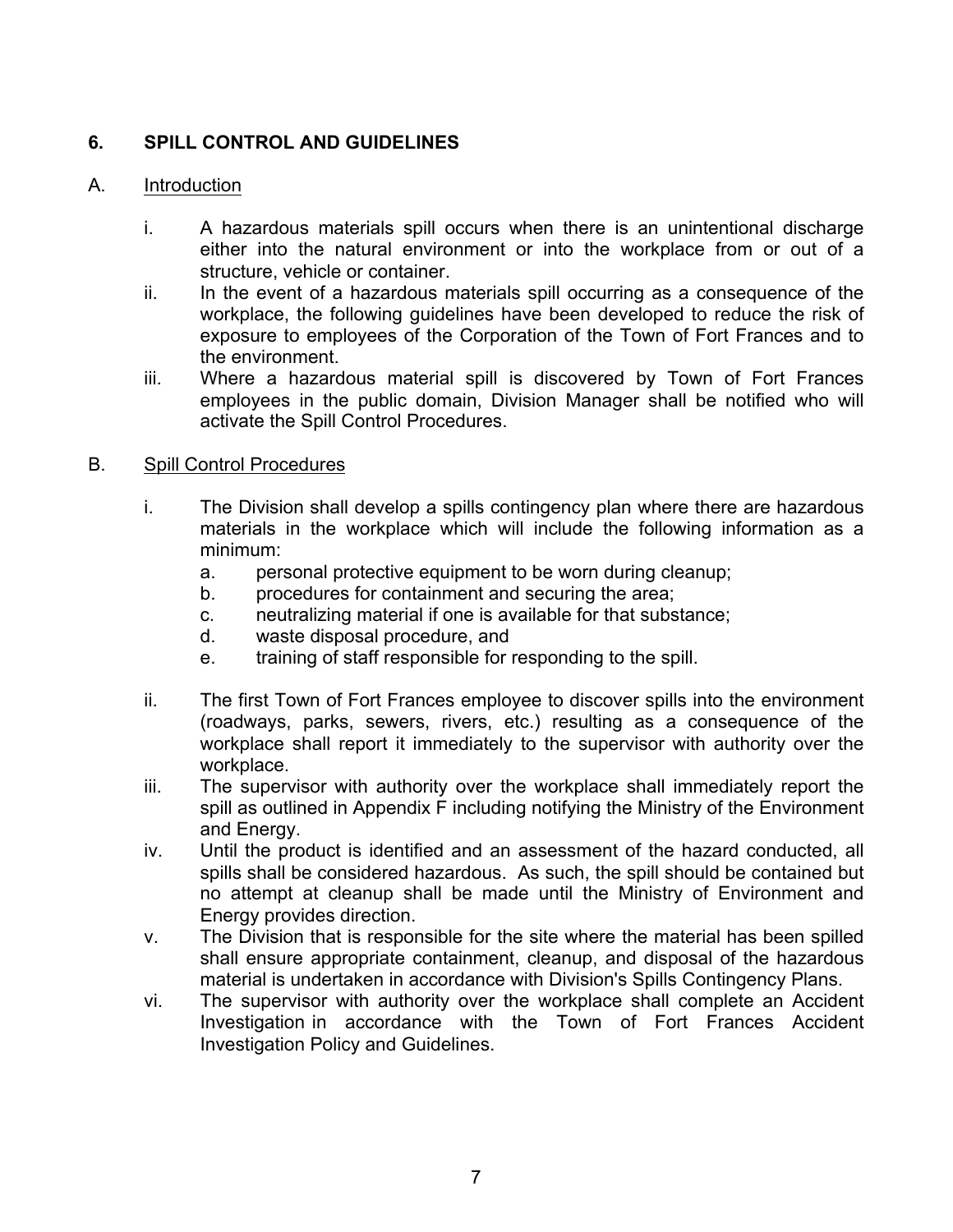# **6. SPILL CONTROL AND GUIDELINES**

#### A. Introduction

- i. A hazardous materials spill occurs when there is an unintentional discharge either into the natural environment or into the workplace from or out of a structure, vehicle or container.
- ii. In the event of a hazardous materials spill occurring as a consequence of the workplace, the following guidelines have been developed to reduce the risk of exposure to employees of the Corporation of the Town of Fort Frances and to the environment.
- iii. Where a hazardous material spill is discovered by Town of Fort Frances employees in the public domain, Division Manager shall be notified who will activate the Spill Control Procedures.

#### B. Spill Control Procedures

- i. The Division shall develop a spills contingency plan where there are hazardous materials in the workplace which will include the following information as a minimum:
	- a. personal protective equipment to be worn during cleanup;
	- b. procedures for containment and securing the area;
	- c. neutralizing material if one is available for that substance;
	- d. waste disposal procedure, and
	- e. training of staff responsible for responding to the spill.
- ii. The first Town of Fort Frances employee to discover spills into the environment (roadways, parks, sewers, rivers, etc.) resulting as a consequence of the workplace shall report it immediately to the supervisor with authority over the workplace.
- iii. The supervisor with authority over the workplace shall immediately report the spill as outlined in Appendix F including notifying the Ministry of the Environment and Energy.
- iv. Until the product is identified and an assessment of the hazard conducted, all spills shall be considered hazardous. As such, the spill should be contained but no attempt at cleanup shall be made until the Ministry of Environment and Energy provides direction.
- v. The Division that is responsible for the site where the material has been spilled shall ensure appropriate containment, cleanup, and disposal of the hazardous material is undertaken in accordance with Division's Spills Contingency Plans.
- vi. The supervisor with authority over the workplace shall complete an Accident Investigation in accordance with the Town of Fort Frances Accident Investigation Policy and Guidelines.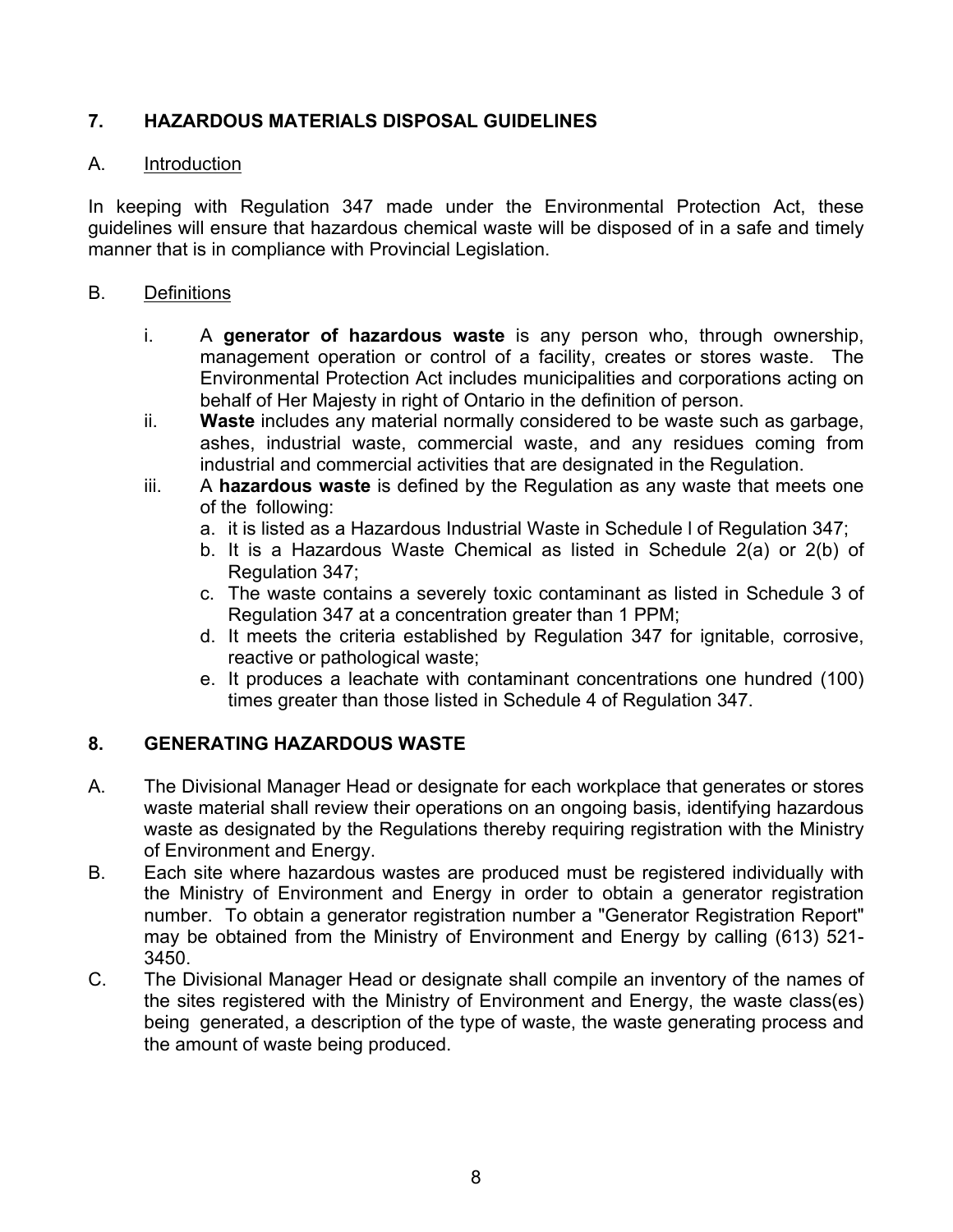# **7. HAZARDOUS MATERIALS DISPOSAL GUIDELINES**

#### A. Introduction

In keeping with Regulation 347 made under the Environmental Protection Act, these guidelines will ensure that hazardous chemical waste will be disposed of in a safe and timely manner that is in compliance with Provincial Legislation.

#### B. Definitions

- i. A **generator of hazardous waste** is any person who, through ownership, management operation or control of a facility, creates or stores waste. The Environmental Protection Act includes municipalities and corporations acting on behalf of Her Majesty in right of Ontario in the definition of person.
- ii. **Waste** includes any material normally considered to be waste such as garbage, ashes, industrial waste, commercial waste, and any residues coming from industrial and commercial activities that are designated in the Regulation.
- iii. A **hazardous waste** is defined by the Regulation as any waste that meets one of the following:
	- a. it is listed as a Hazardous Industrial Waste in Schedule l of Regulation 347;
	- b. It is a Hazardous Waste Chemical as listed in Schedule 2(a) or 2(b) of Regulation 347;
	- c. The waste contains a severely toxic contaminant as listed in Schedule 3 of Regulation 347 at a concentration greater than 1 PPM;
	- d. It meets the criteria established by Regulation 347 for ignitable, corrosive, reactive or pathological waste;
	- e. It produces a leachate with contaminant concentrations one hundred (100) times greater than those listed in Schedule 4 of Regulation 347.

## **8. GENERATING HAZARDOUS WASTE**

- A. The Divisional Manager Head or designate for each workplace that generates or stores waste material shall review their operations on an ongoing basis, identifying hazardous waste as designated by the Regulations thereby requiring registration with the Ministry of Environment and Energy.
- B. Each site where hazardous wastes are produced must be registered individually with the Ministry of Environment and Energy in order to obtain a generator registration number. To obtain a generator registration number a "Generator Registration Report" may be obtained from the Ministry of Environment and Energy by calling (613) 521- 3450.
- C. The Divisional Manager Head or designate shall compile an inventory of the names of the sites registered with the Ministry of Environment and Energy, the waste class(es) being generated, a description of the type of waste, the waste generating process and the amount of waste being produced.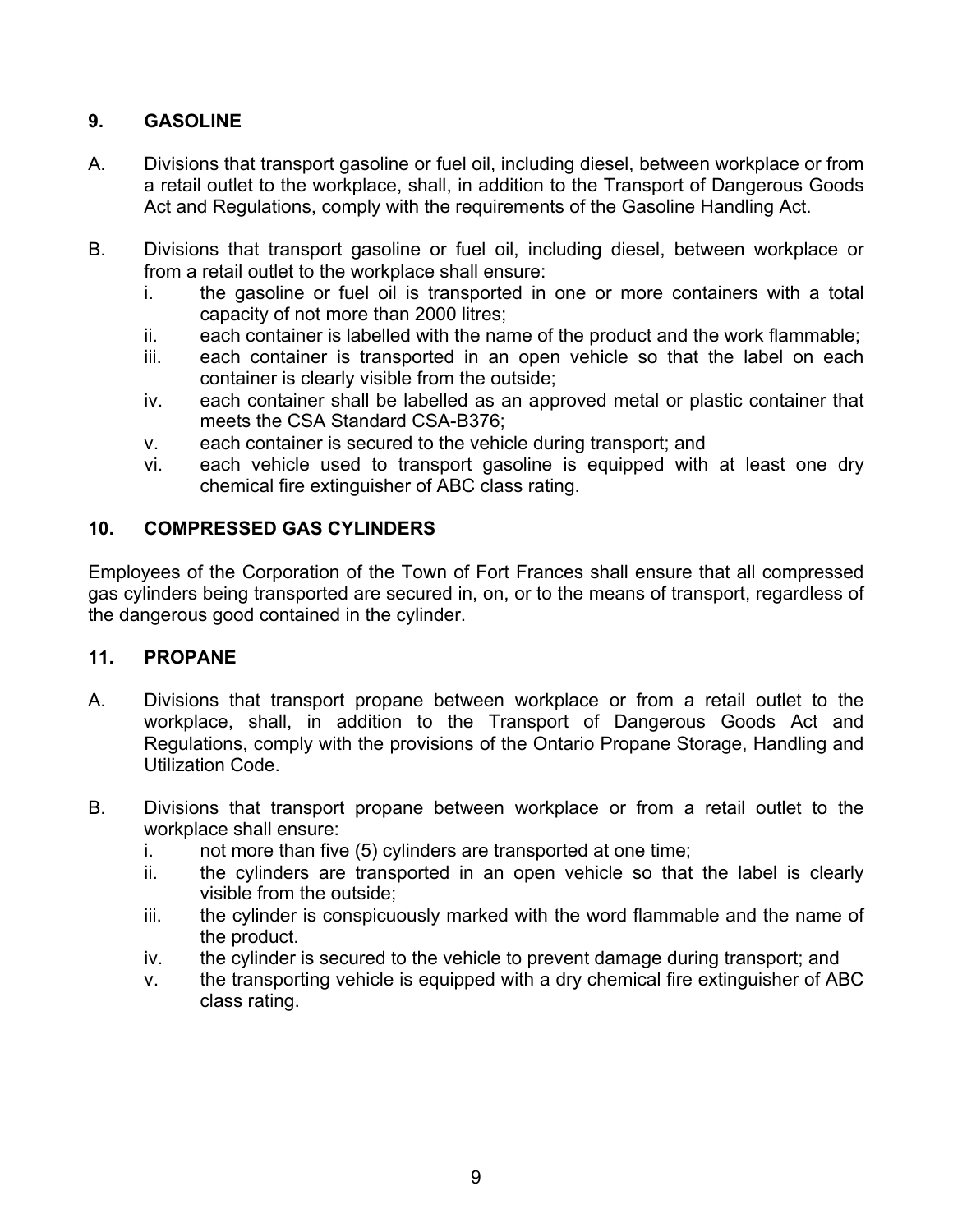# **9. GASOLINE**

- A. Divisions that transport gasoline or fuel oil, including diesel, between workplace or from a retail outlet to the workplace, shall, in addition to the Transport of Dangerous Goods Act and Regulations, comply with the requirements of the Gasoline Handling Act.
- B. Divisions that transport gasoline or fuel oil, including diesel, between workplace or from a retail outlet to the workplace shall ensure:
	- i. the gasoline or fuel oil is transported in one or more containers with a total capacity of not more than 2000 litres;
	- ii. each container is labelled with the name of the product and the work flammable;
	- iii. each container is transported in an open vehicle so that the label on each container is clearly visible from the outside;
	- iv. each container shall be labelled as an approved metal or plastic container that meets the CSA Standard CSA-B376;
	- v. each container is secured to the vehicle during transport; and
	- vi. each vehicle used to transport gasoline is equipped with at least one dry chemical fire extinguisher of ABC class rating.

# **10. COMPRESSED GAS CYLINDERS**

Employees of the Corporation of the Town of Fort Frances shall ensure that all compressed gas cylinders being transported are secured in, on, or to the means of transport, regardless of the dangerous good contained in the cylinder.

## **11. PROPANE**

- A. Divisions that transport propane between workplace or from a retail outlet to the workplace, shall, in addition to the Transport of Dangerous Goods Act and Regulations, comply with the provisions of the Ontario Propane Storage, Handling and Utilization Code.
- B. Divisions that transport propane between workplace or from a retail outlet to the workplace shall ensure:
	- i. not more than five (5) cylinders are transported at one time;
	- ii. the cylinders are transported in an open vehicle so that the label is clearly visible from the outside;
	- iii. the cylinder is conspicuously marked with the word flammable and the name of the product.
	- iv. the cylinder is secured to the vehicle to prevent damage during transport; and
	- v. the transporting vehicle is equipped with a dry chemical fire extinguisher of ABC class rating.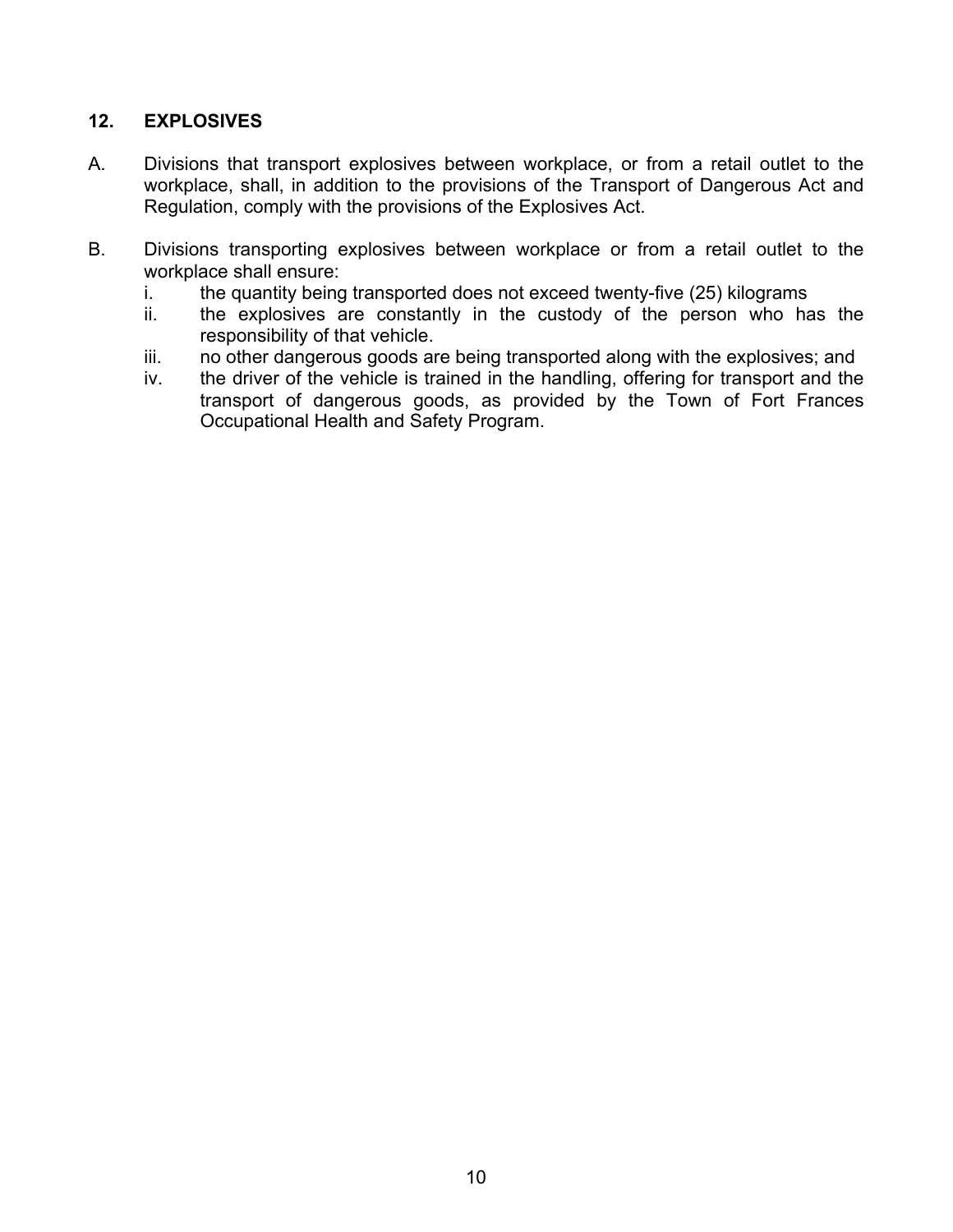# **12. EXPLOSIVES**

- A. Divisions that transport explosives between workplace, or from a retail outlet to the workplace, shall, in addition to the provisions of the Transport of Dangerous Act and Regulation, comply with the provisions of the Explosives Act.
- B. Divisions transporting explosives between workplace or from a retail outlet to the workplace shall ensure:
	- i. the quantity being transported does not exceed twenty-five (25) kilograms
	- ii. the explosives are constantly in the custody of the person who has the responsibility of that vehicle.
	- iii. no other dangerous goods are being transported along with the explosives; and
	- iv. the driver of the vehicle is trained in the handling, offering for transport and the transport of dangerous goods, as provided by the Town of Fort Frances Occupational Health and Safety Program.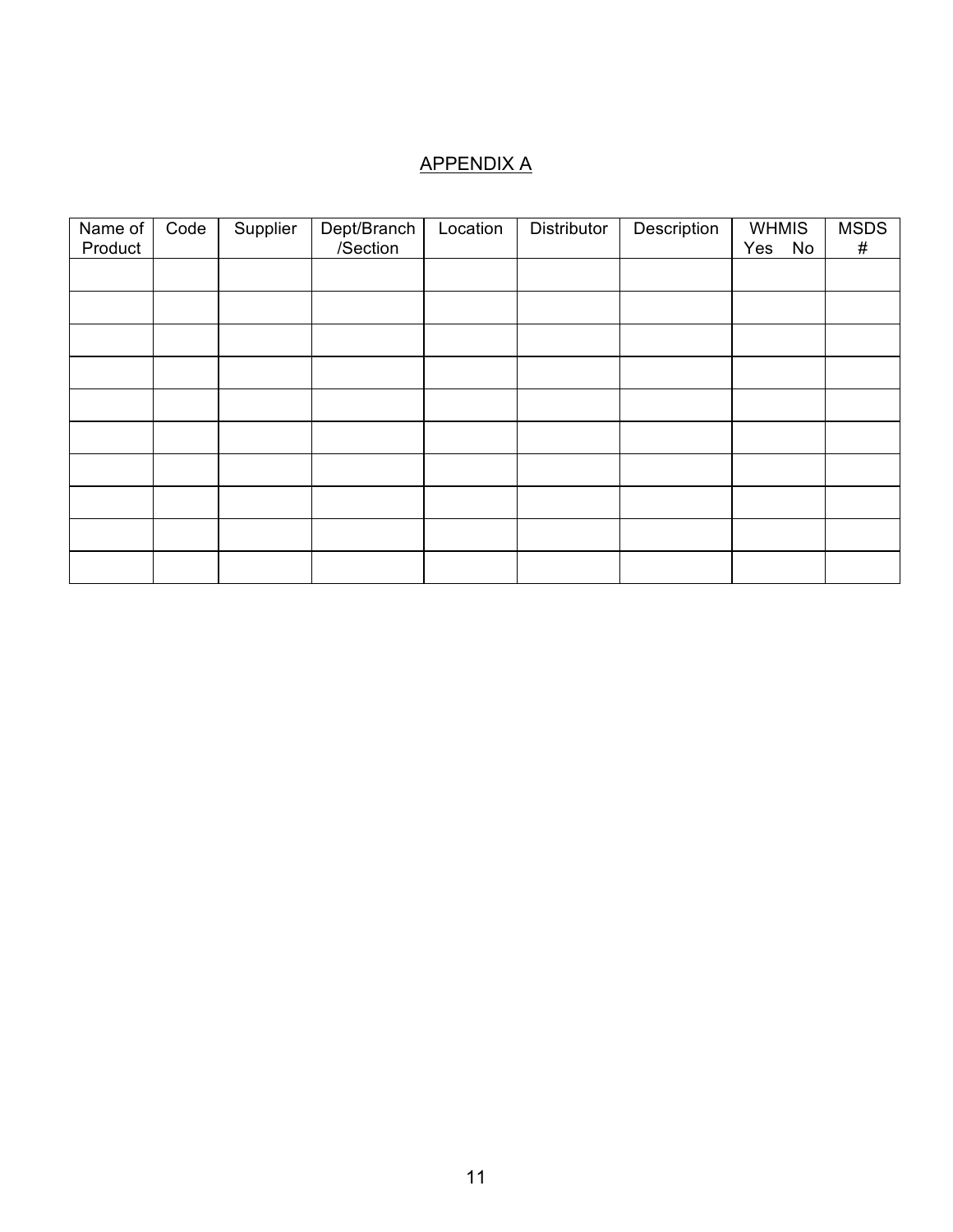# APPENDIX A

| Name of | Code | Supplier | Dept/Branch | Location | Distributor | Description | <b>WHMIS</b> | <b>MSDS</b> |
|---------|------|----------|-------------|----------|-------------|-------------|--------------|-------------|
| Product |      |          | /Section    |          |             |             | Yes<br>No    | #           |
|         |      |          |             |          |             |             |              |             |
|         |      |          |             |          |             |             |              |             |
|         |      |          |             |          |             |             |              |             |
|         |      |          |             |          |             |             |              |             |
|         |      |          |             |          |             |             |              |             |
|         |      |          |             |          |             |             |              |             |
|         |      |          |             |          |             |             |              |             |
|         |      |          |             |          |             |             |              |             |
|         |      |          |             |          |             |             |              |             |
|         |      |          |             |          |             |             |              |             |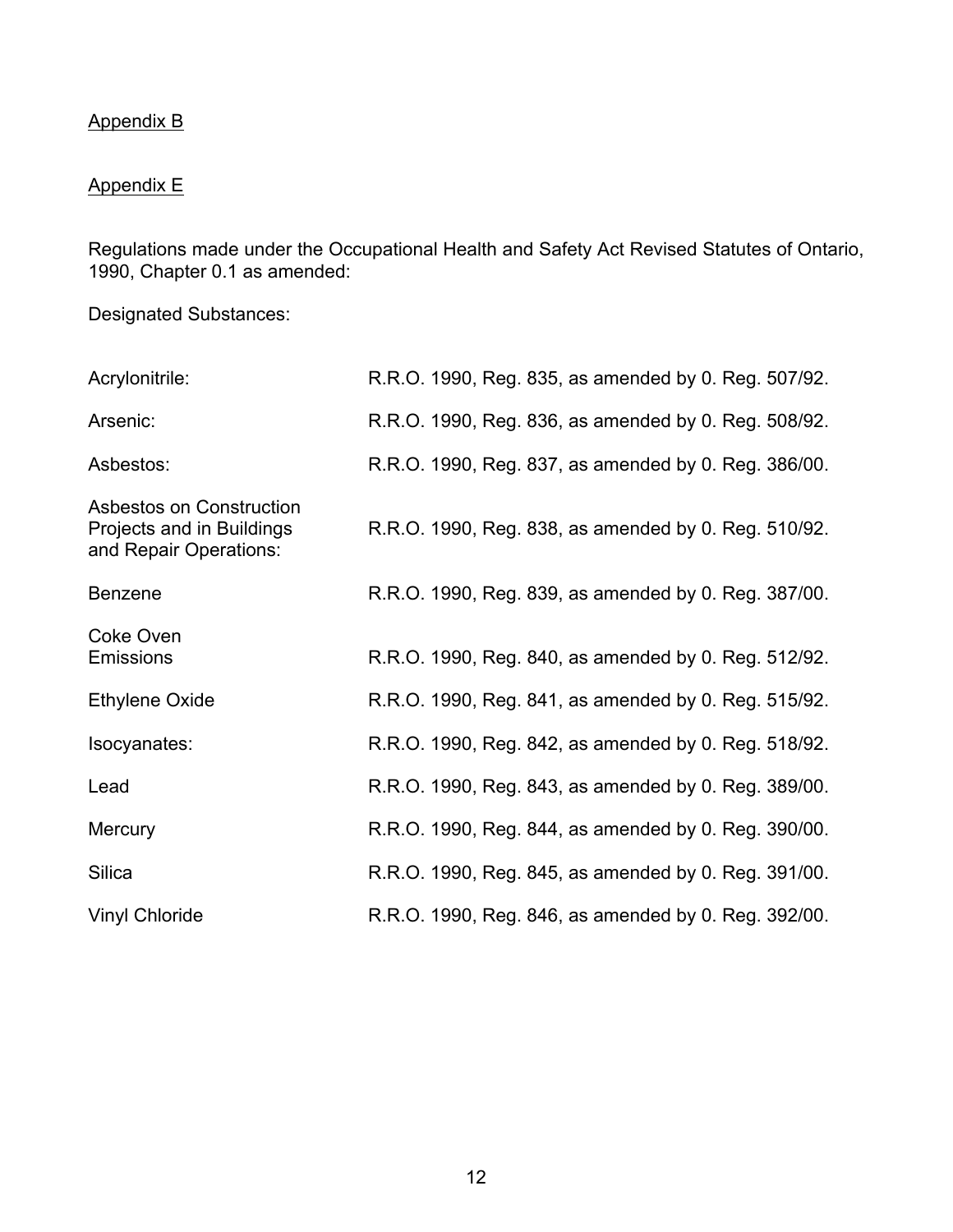# Appendix B

# Appendix E

Regulations made under the Occupational Health and Safety Act Revised Statutes of Ontario, 1990, Chapter 0.1 as amended:

Designated Substances:

| Acrylonitrile:                                                                  | R.R.O. 1990, Reg. 835, as amended by 0. Reg. 507/92. |
|---------------------------------------------------------------------------------|------------------------------------------------------|
| Arsenic:                                                                        | R.R.O. 1990, Reg. 836, as amended by 0. Reg. 508/92. |
| Asbestos:                                                                       | R.R.O. 1990, Reg. 837, as amended by 0. Reg. 386/00. |
| Asbestos on Construction<br>Projects and in Buildings<br>and Repair Operations: | R.R.O. 1990, Reg. 838, as amended by 0. Reg. 510/92. |
| <b>Benzene</b>                                                                  | R.R.O. 1990, Reg. 839, as amended by 0. Reg. 387/00. |
| Coke Oven<br><b>Emissions</b>                                                   | R.R.O. 1990, Reg. 840, as amended by 0. Reg. 512/92. |
| <b>Ethylene Oxide</b>                                                           | R.R.O. 1990, Reg. 841, as amended by 0. Reg. 515/92. |
| Isocyanates:                                                                    | R.R.O. 1990, Reg. 842, as amended by 0. Reg. 518/92. |
| Lead                                                                            | R.R.O. 1990, Reg. 843, as amended by 0. Reg. 389/00. |
| Mercury                                                                         | R.R.O. 1990, Reg. 844, as amended by 0. Reg. 390/00. |
| <b>Silica</b>                                                                   | R.R.O. 1990, Reg. 845, as amended by 0. Reg. 391/00. |
| <b>Vinyl Chloride</b>                                                           | R.R.O. 1990, Reg. 846, as amended by 0. Reg. 392/00. |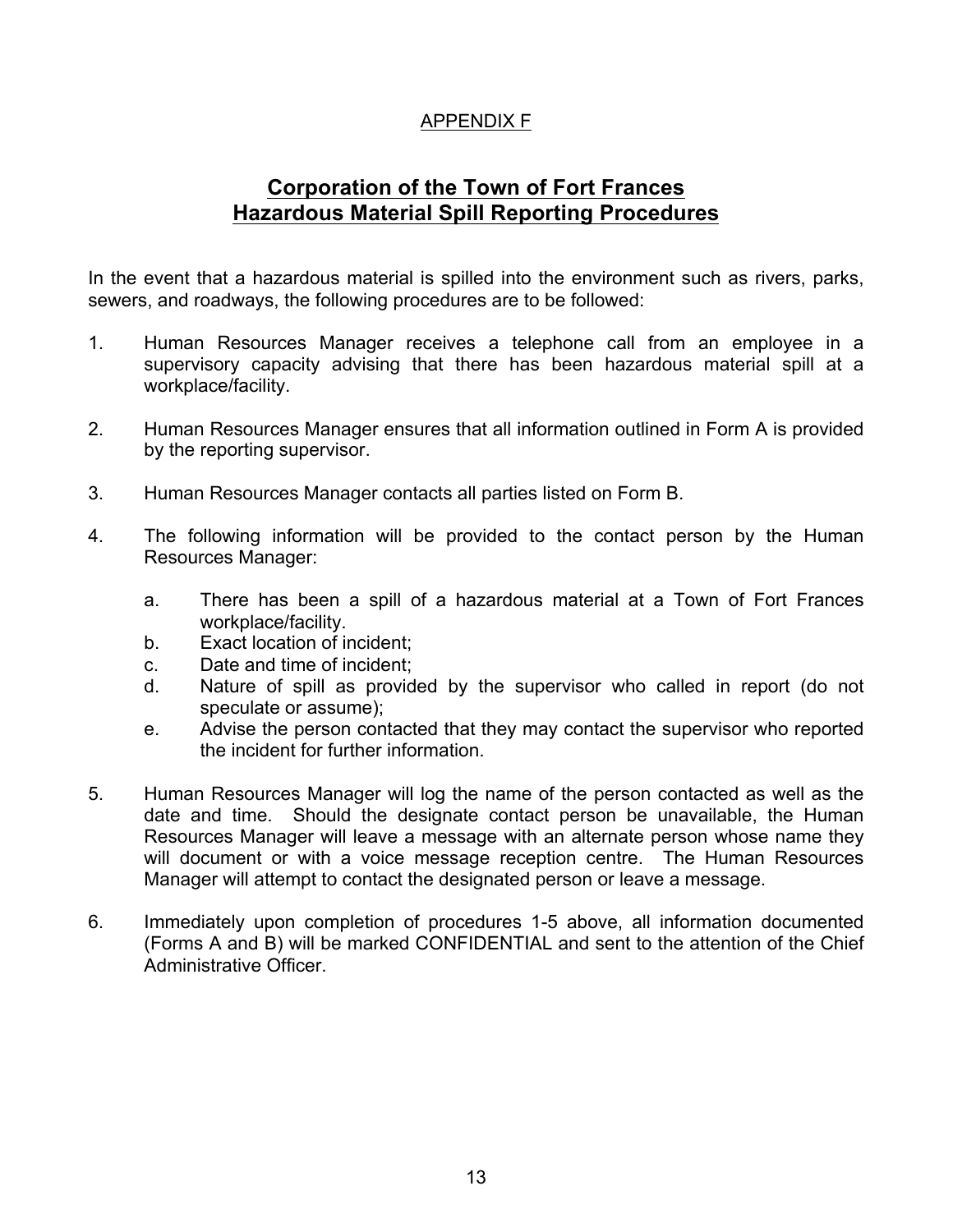# APPENDIX F

# **Corporation of the Town of Fort Frances Hazardous Material Spill Reporting Procedures**

In the event that a hazardous material is spilled into the environment such as rivers, parks, sewers, and roadways, the following procedures are to be followed:

- 1. Human Resources Manager receives a telephone call from an employee in a supervisory capacity advising that there has been hazardous material spill at a workplace/facility.
- 2. Human Resources Manager ensures that all information outlined in Form A is provided by the reporting supervisor.
- 3. Human Resources Manager contacts all parties listed on Form B.
- 4. The following information will be provided to the contact person by the Human Resources Manager:
	- a. There has been a spill of a hazardous material at a Town of Fort Frances workplace/facility.
	- b. Exact location of incident;
	- c. Date and time of incident;
	- d. Nature of spill as provided by the supervisor who called in report (do not speculate or assume);
	- e. Advise the person contacted that they may contact the supervisor who reported the incident for further information.
- 5. Human Resources Manager will log the name of the person contacted as well as the date and time. Should the designate contact person be unavailable, the Human Resources Manager will leave a message with an alternate person whose name they will document or with a voice message reception centre. The Human Resources Manager will attempt to contact the designated person or leave a message.
- 6. Immediately upon completion of procedures 1-5 above, all information documented (Forms A and B) will be marked CONFIDENTIAL and sent to the attention of the Chief Administrative Officer.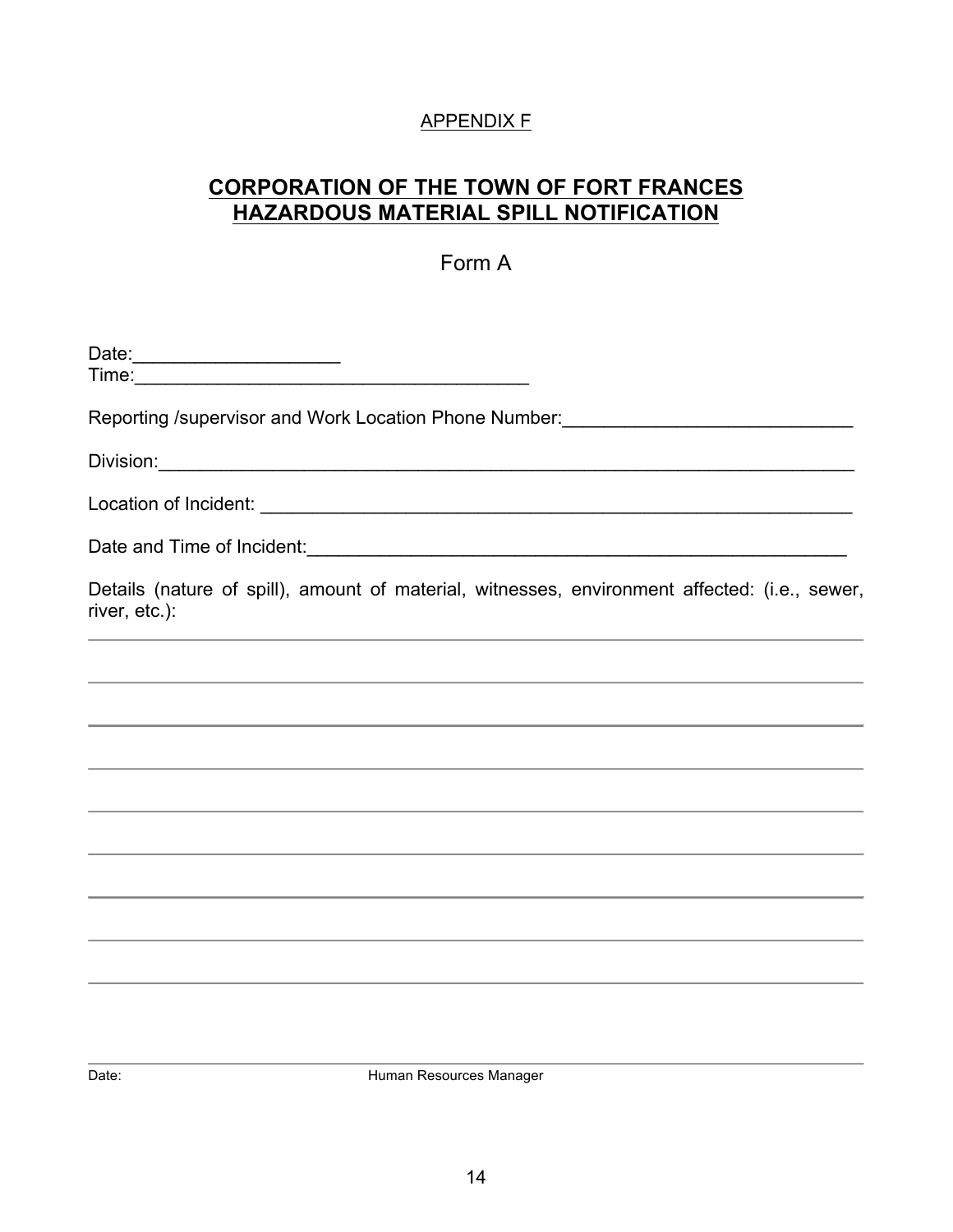# APPENDIX F

# **CORPORATION OF THE TOWN OF FORT FRANCES HAZARDOUS MATERIAL SPILL NOTIFICATION**

# Form A

| Reporting /supervisor and Work Location Phone Number: __________________________                                     |
|----------------------------------------------------------------------------------------------------------------------|
|                                                                                                                      |
|                                                                                                                      |
|                                                                                                                      |
| Details (nature of spill), amount of material, witnesses, environment affected: (i.e., sewer,<br>river, etc.):       |
| <u> 1989 - Andrea Santa Andrea Santa Andrea Santa Andrea Santa Andrea Santa Andrea Santa Andrea Santa Andrea San</u> |
|                                                                                                                      |
|                                                                                                                      |
|                                                                                                                      |
|                                                                                                                      |
|                                                                                                                      |
|                                                                                                                      |
|                                                                                                                      |
|                                                                                                                      |